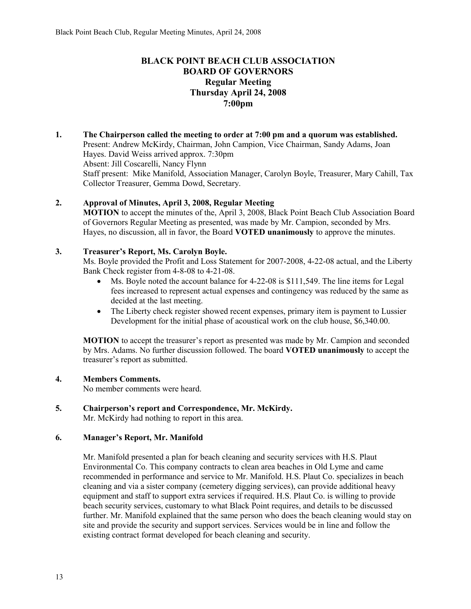# **BLACK POINT BEACH CLUB ASSOCIATION BOARD OF GOVERNORS Regular Meeting Thursday April 24, 2008 7:00pm**

**1. The Chairperson called the meeting to order at 7:00 pm and a quorum was established.**  Present: Andrew McKirdy, Chairman, John Campion, Vice Chairman, Sandy Adams, Joan Hayes. David Weiss arrived approx. 7:30pm Absent: Jill Coscarelli, Nancy Flynn Staff present: Mike Manifold, Association Manager, Carolyn Boyle, Treasurer, Mary Cahill, Tax Collector Treasurer, Gemma Dowd, Secretary.

# **2. Approval of Minutes, April 3, 2008, Regular Meeting**

**MOTION** to accept the minutes of the, April 3, 2008, Black Point Beach Club Association Board of Governors Regular Meeting as presented, was made by Mr. Campion, seconded by Mrs. Hayes, no discussion, all in favor, the Board **VOTED unanimously** to approve the minutes.

# **3. Treasurer's Report, Ms. Carolyn Boyle.**

Ms. Boyle provided the Profit and Loss Statement for 2007-2008, 4-22-08 actual, and the Liberty Bank Check register from 4-8-08 to 4-21-08.

- $\bullet$  Ms. Boyle noted the account balance for 4-22-08 is \$111,549. The line items for Legal fees increased to represent actual expenses and contingency was reduced by the same as decided at the last meeting.
- The Liberty check register showed recent expenses, primary item is payment to Lussier Development for the initial phase of acoustical work on the club house, \$6,340.00.

**MOTION** to accept the treasurer's report as presented was made by Mr. Campion and seconded by Mrs. Adams. No further discussion followed. The board **VOTED unanimously** to accept the treasurer's report as submitted.

## **4. Members Comments.**

No member comments were heard.

## **5. Chairperson's report and Correspondence, Mr. McKirdy.**

Mr. McKirdy had nothing to report in this area.

## **6. Manager's Report, Mr. Manifold**

Mr. Manifold presented a plan for beach cleaning and security services with H.S. Plaut Environmental Co. This company contracts to clean area beaches in Old Lyme and came recommended in performance and service to Mr. Manifold. H.S. Plaut Co. specializes in beach cleaning and via a sister company (cemetery digging services), can provide additional heavy equipment and staff to support extra services if required. H.S. Plaut Co. is willing to provide beach security services, customary to what Black Point requires, and details to be discussed further. Mr. Manifold explained that the same person who does the beach cleaning would stay on site and provide the security and support services. Services would be in line and follow the existing contract format developed for beach cleaning and security.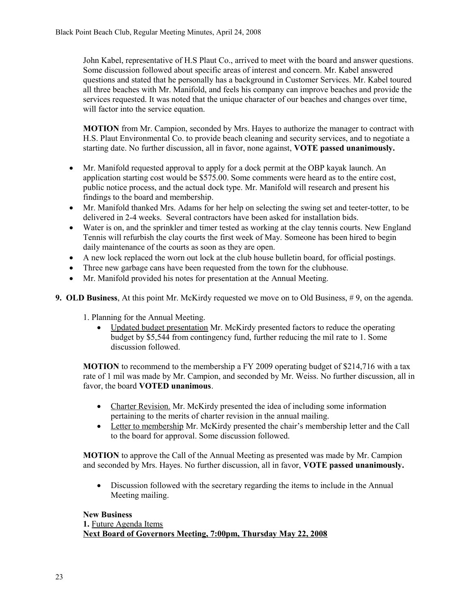John Kabel, representative of H.S Plaut Co., arrived to meet with the board and answer questions. Some discussion followed about specific areas of interest and concern. Mr. Kabel answered questions and stated that he personally has a background in Customer Services. Mr. Kabel toured all three beaches with Mr. Manifold, and feels his company can improve beaches and provide the services requested. It was noted that the unique character of our beaches and changes over time, will factor into the service equation.

**MOTION** from Mr. Campion, seconded by Mrs. Hayes to authorize the manager to contract with H.S. Plaut Environmental Co. to provide beach cleaning and security services, and to negotiate a starting date. No further discussion, all in favor, none against, **VOTE passed unanimously.**

- Mr. Manifold requested approval to apply for a dock permit at the OBP kayak launch. An application starting cost would be \$575.00. Some comments were heard as to the entire cost, public notice process, and the actual dock type. Mr. Manifold will research and present his findings to the board and membership.
- Mr. Manifold thanked Mrs. Adams for her help on selecting the swing set and teeter-totter, to be delivered in 2-4 weeks. Several contractors have been asked for installation bids.
- Water is on, and the sprinkler and timer tested as working at the clay tennis courts. New England Tennis will refurbish the clay courts the first week of May. Someone has been hired to begin daily maintenance of the courts as soon as they are open.
- A new lock replaced the worn out lock at the club house bulletin board, for official postings.
- Three new garbage cans have been requested from the town for the clubhouse.
- Mr. Manifold provided his notes for presentation at the Annual Meeting.
- **9. OLD Business**, At this point Mr. McKirdy requested we move on to Old Business, #9, on the agenda.

1. Planning for the Annual Meeting.

 Updated budget presentation Mr. McKirdy presented factors to reduce the operating budget by \$5,544 from contingency fund, further reducing the mil rate to 1. Some discussion followed.

**MOTION** to recommend to the membership a FY 2009 operating budget of \$214,716 with a tax rate of 1 mil was made by Mr. Campion, and seconded by Mr. Weiss. No further discussion, all in favor, the board **VOTED unanimous**.

- Charter Revision. Mr. McKirdy presented the idea of including some information pertaining to the merits of charter revision in the annual mailing.
- Letter to membership Mr. McKirdy presented the chair's membership letter and the Call to the board for approval. Some discussion followed.

**MOTION** to approve the Call of the Annual Meeting as presented was made by Mr. Campion and seconded by Mrs. Hayes. No further discussion, all in favor, **VOTE passed unanimously.**

 Discussion followed with the secretary regarding the items to include in the Annual Meeting mailing.

## **New Business**

**1.** Future Agenda Items **Next Board of Governors Meeting, 7:00pm, Thursday May 22, 2008**